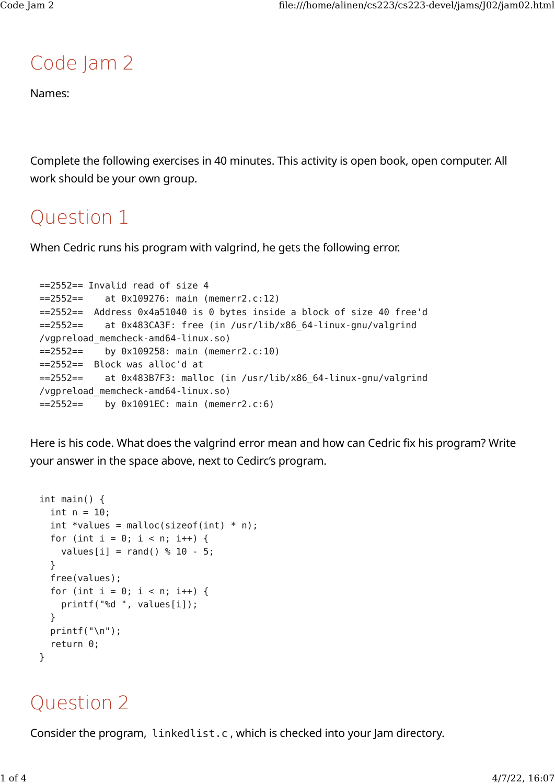# Code Jam 2

Names:

Complete the following exercises in 40 minutes. This activity is open book, open computer. All work should be your own group.

# Question 1

When Cedric runs his program with valgrind, he gets the following error.

```
==2552== Invalid read of size 4
==2552== at 0x109276: main (memerr2.c:12)
==2552== Address 0x4a51040 is 0 bytes inside a block of size 40 free'd
==2552== at 0x483CA3F: free (in /usr/lib/x86_64-linux-gnu/valgrind
/vgpreload_memcheck-amd64-linux.so)
==2552== by 0x109258: main (memerr2.c:10)
==2552== Block was alloc'd at
==2552== at 0x483B7F3: malloc (in /usr/lib/x86_64-linux-gnu/valgrind
/vgpreload_memcheck-amd64-linux.so)
= ==2552 == by 0x1091EC: main (memerr2.c:6)
```
Here is his code. What does the valgrind error mean and how can Cedric fix his program? Write your answer in the space above, next to Cedirc's program.

```
int main() {
  int n = 10;
  int *values = malloc(sizeof(int) * n);
  for (int i = 0; i < n; i++) {
    values[i] = rand() % 10 - 5; }
   free(values);
  for (int i = 0; i < n; i++) {
     printf("%d ", values[i]);
   }
   printf("\n");
   return 0;
}
```
### Question 2

Consider the program, linkedlist.c , which is checked into your Jam directory.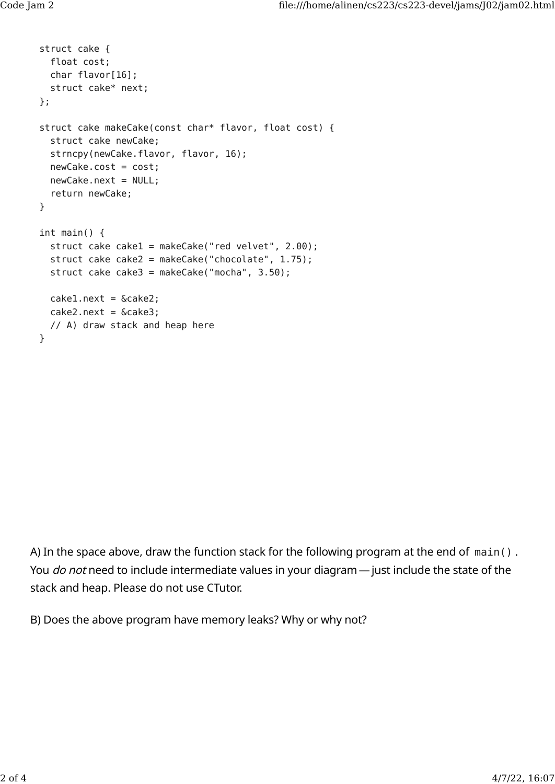```
struct cake {
   float cost;
   char flavor[16];
   struct cake* next;
};
struct cake makeCake(const char* flavor, float cost) {
   struct cake newCake;
   strncpy(newCake.flavor, flavor, 16);
   newCake.cost = cost;
   newCake.next = NULL;
   return newCake;
}
int main() {
   struct cake cake1 = makeCake("red velvet", 2.00);
   struct cake cake2 = makeCake("chocolate", 1.75);
  struct cake cake3 = makeCake("mocha", 3.50);
  caked.next = <math>6</math> <math>cake2</math>;cake2.next = & cake3; // A) draw stack and heap here
}
```
A) In the space above, draw the function stack for the following program at the end of main() . You *do not* need to include intermediate values in your diagram — just include the state of the stack and heap. Please do not use CTutor.

B) Does the above program have memory leaks? Why or why not?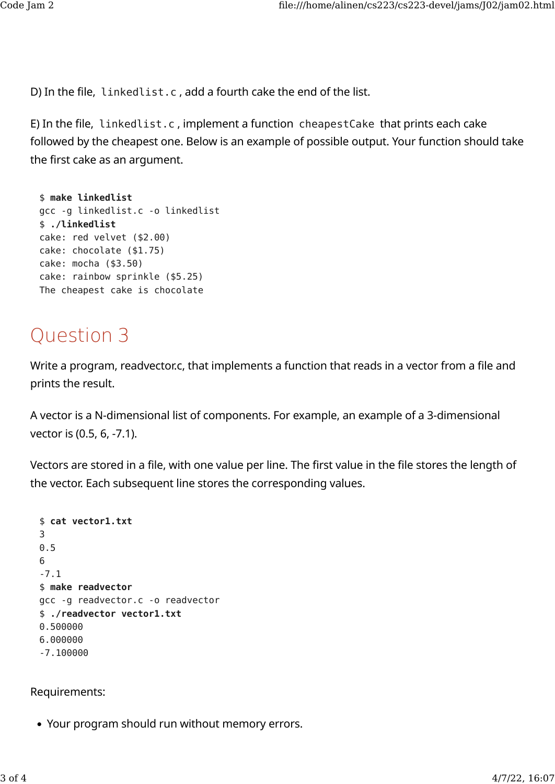D) In the file, linkedlist.c , add a fourth cake the end of the list.

E) In the file, linkedlist.c , implement a function cheapestCake that prints each cake followed by the cheapest one. Below is an example of possible output. Your function should take the first cake as an argument.

```
$ make linkedlist
gcc -g linkedlist.c -o linkedlist
$ ./linkedlist
cake: red velvet ($2.00)
cake: chocolate ($1.75)
cake: mocha ($3.50)
cake: rainbow sprinkle ($5.25)
The cheapest cake is chocolate
```
# Question 3

Write a program, readvector.c, that implements a function that reads in a vector from a file and prints the result.

A vector is a N-dimensional list of components. For example, an example of a 3-dimensional vector is (0.5, 6, -7.1).

Vectors are stored in a file, with one value per line. The first value in the file stores the length of the vector. Each subsequent line stores the corresponding values.

```
$ cat vector1.txt
3
0.5
6
-7.1
$ make readvector
gcc -g readvector.c -o readvector
$ ./readvector vector1.txt
0.500000
6.000000
-7.100000
```
#### Requirements:

• Your program should run without memory errors.